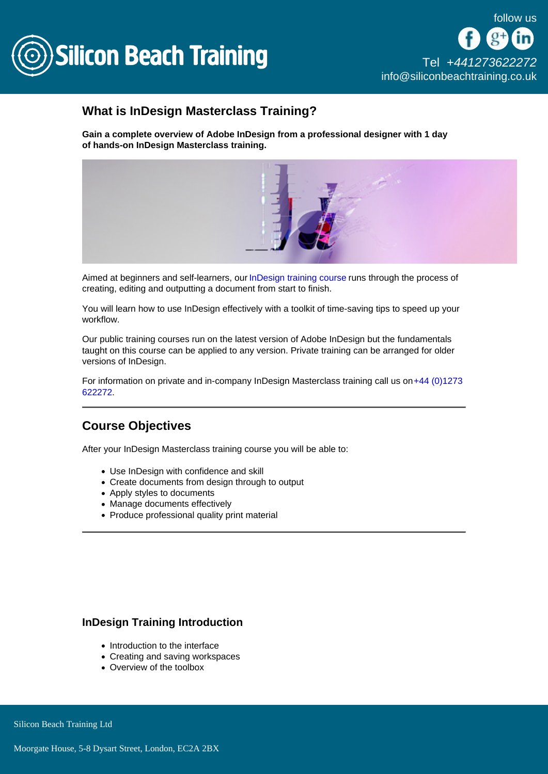

[Tel +44](tel:+441273622272)1273622272 [info@siliconbeachtraining.co.uk](/var/www/html/siliconbeachtraining.co.uk/public/mailTo:info@siliconbeachtraining.co.uk)

### What is InDesign Masterclass Training?

Gain a complete overview of Adobe InDesign from a professional designer with 1 day of hands-on InDesign Masterclass training.

Aimed at beginners and self-learners, our [InDesign training course](/indesign-training) runs through the process of creating, editing and outputting a document from start to finish.

You will learn how to use InDesign effectively with a toolkit of time-saving tips to speed up your workflow.

Our public training courses run on the latest version of Adobe InDesign but the fundamentals taught on this course can be applied to any version. Private training can be arranged for older versions of InDesign.

For information on private and in-company InDesign Masterclass training call us on [+44 \(0\)1273](tel:441273622272)  [622272.](tel:441273622272)

#### Course Objectives

After your InDesign Masterclass training course you will be able to:

- Use InDesign with confidence and skill
- Create documents from design through to output
- Apply styles to documents
- Manage documents effectively
- Produce professional quality print material

#### InDesign Training Introduction

- Introduction to the interface
- Creating and saving workspaces
- Overview of the toolbox

Silicon Beach Training Ltd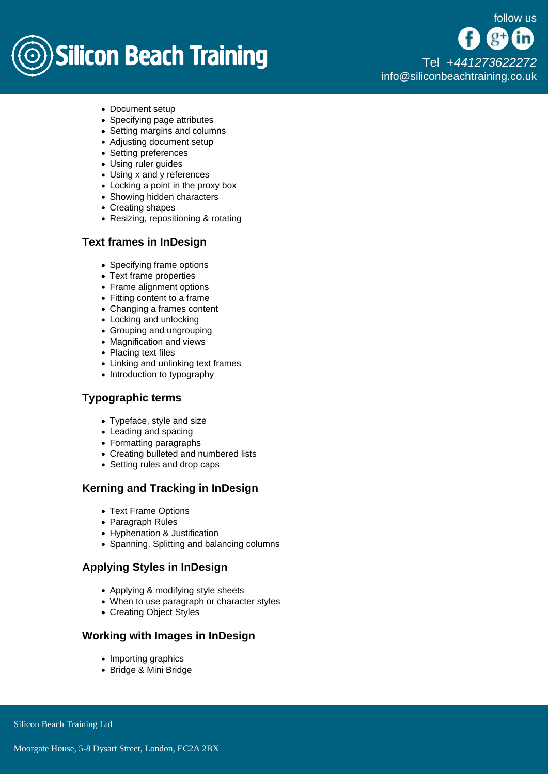## **Silicon Beach Training**

[Tel +44](tel:+441273622272)1273622272 [info@siliconbeachtraining.co.uk](/var/www/html/siliconbeachtraining.co.uk/public/mailTo:info@siliconbeachtraining.co.uk)

- Document setup
- Specifying page attributes
- Setting margins and columns
- Adjusting document setup
- Setting preferences
- Using ruler guides
- Using x and y references
- Locking a point in the proxy box
- Showing hidden characters
- Creating shapes
- Resizing, repositioning & rotating

#### Text frames in InDesign

- Specifying frame options
- Text frame properties
- Frame alignment options
- Fitting content to a frame
- Changing a frames content
- Locking and unlocking
- Grouping and ungrouping
- Magnification and views
- Placing text files
- Linking and unlinking text frames
- Introduction to typography

#### Typographic terms

- Typeface, style and size
- Leading and spacing
- Formatting paragraphs
- Creating bulleted and numbered lists
- Setting rules and drop caps

#### Kerning and Tracking in InDesign

- Text Frame Options
- Paragraph Rules
- Hyphenation & Justification
- Spanning, Splitting and balancing columns

#### Applying Styles in InDesign

- Applying & modifying style sheets
- When to use paragraph or character styles
- Creating Object Styles

#### Working with Images in InDesign

- Importing graphics
- Bridge & Mini Bridge

Silicon Beach Training Ltd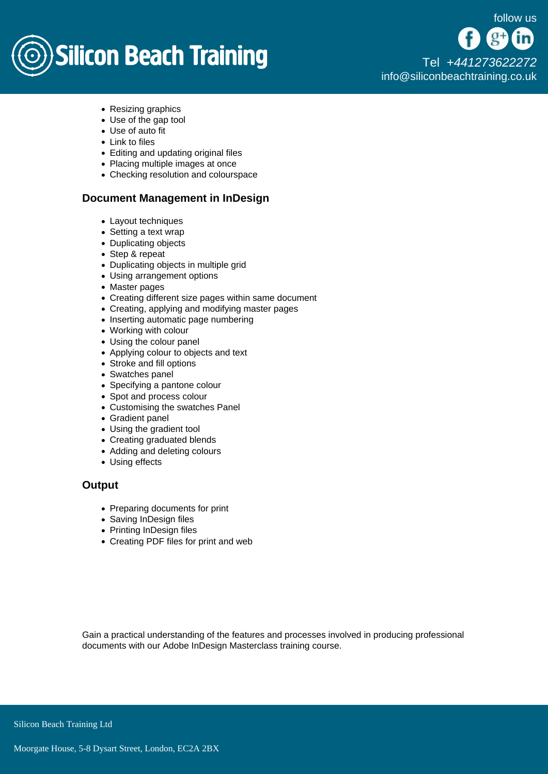# **Silicon Beach Training**

[Tel +44](tel:+441273622272)1273622272 [info@siliconbeachtraining.co.uk](/var/www/html/siliconbeachtraining.co.uk/public/mailTo:info@siliconbeachtraining.co.uk)

- Resizing graphics
- Use of the gap tool
- Use of auto fit
- Link to files
- Editing and updating original files
- Placing multiple images at once
- Checking resolution and colourspace

#### Document Management in InDesign

- Layout techniques
- Setting a text wrap
- Duplicating objects
- Step & repeat
- Duplicating objects in multiple grid
- Using arrangement options
- Master pages
- Creating different size pages within same document
- Creating, applying and modifying master pages
- Inserting automatic page numbering
- Working with colour
- Using the colour panel
- Applying colour to objects and text
- Stroke and fill options
- Swatches panel
- Specifying a pantone colour
- Spot and process colour
- Customising the swatches Panel
- Gradient panel
- Using the gradient tool
- Creating graduated blends
- Adding and deleting colours
- Using effects

#### **Output**

- Preparing documents for print
- Saving InDesign files
- Printing InDesign files
- Creating PDF files for print and web

Gain a practical understanding of the features and processes involved in producing professional documents with our Adobe InDesign Masterclass training course.